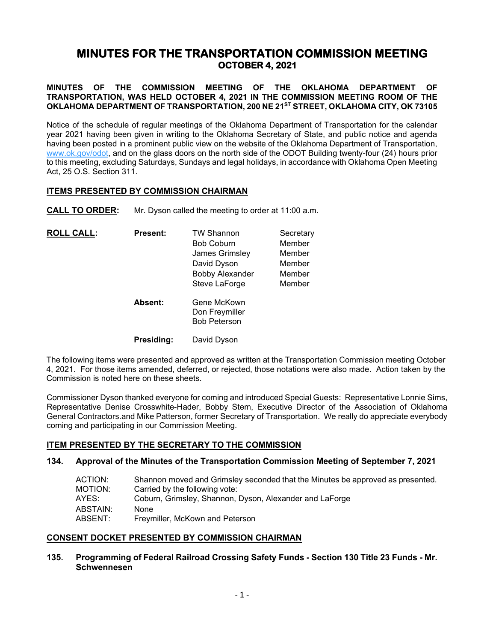# **MINUTES FOR THE TRANSPORTATION COMMISSION MEETING OCTOBER 4, 2021**

**MINUTES OF THE COMMISSION MEETING OF THE OKLAHOMA DEPARTMENT OF TRANSPORTATION, WAS HELD OCTOBER 4, 2021 IN THE COMMISSION MEETING ROOM OF THE OKLAHOMA DEPARTMENT OF TRANSPORTATION, 200 NE 21ST STREET, OKLAHOMA CITY, OK 73105**

Notice of the schedule of regular meetings of the Oklahoma Department of Transportation for the calendar year 2021 having been given in writing to the Oklahoma Secretary of State, and public notice and agenda having been posted in a prominent public view on the website of the Oklahoma Department of Transportation, [www.ok.gov/odot,](http://www.ok.gov/odot) and on the glass doors on the north side of the ODOT Building twenty-four (24) hours prior to this meeting, excluding Saturdays, Sundays and legal holidays, in accordance with Oklahoma Open Meeting Act, 25 O.S. Section 311.

## **ITEMS PRESENTED BY COMMISSION CHAIRMAN**

**CALL TO ORDER:** Mr. Dyson called the meeting to order at 11:00 a.m.

| <b>ROLL CALL:</b> | <b>Present:</b>   | <b>TW Shannon</b><br><b>Bob Coburn</b><br>James Grimsley<br>David Dyson<br><b>Bobby Alexander</b><br>Steve LaForge | Secretary<br>Member<br>Member<br>Member<br>Member<br>Member |
|-------------------|-------------------|--------------------------------------------------------------------------------------------------------------------|-------------------------------------------------------------|
|                   | <b>Absent:</b>    | Gene McKown<br>Don Freymiller<br><b>Bob Peterson</b>                                                               |                                                             |
|                   | <b>Presiding:</b> | David Dyson                                                                                                        |                                                             |

The following items were presented and approved as written at the Transportation Commission meeting October 4, 2021. For those items amended, deferred, or rejected, those notations were also made. Action taken by the Commission is noted here on these sheets.

Commissioner Dyson thanked everyone for coming and introduced Special Guests: Representative Lonnie Sims, Representative Denise Crosswhite-Hader, Bobby Stem, Executive Director of the Association of Oklahoma General Contractors.and Mike Patterson, former Secretary of Transportation. We really do appreciate everybody coming and participating in our Commission Meeting.

# **ITEM PRESENTED BY THE SECRETARY TO THE COMMISSION**

#### **134. Approval of the Minutes of the Transportation Commission Meeting of September 7, 2021**

| Shannon moved and Grimsley seconded that the Minutes be approved as presented. |
|--------------------------------------------------------------------------------|
| Carried by the following vote:                                                 |
| Coburn, Grimsley, Shannon, Dyson, Alexander and LaForge                        |
| None                                                                           |
| Freymiller, McKown and Peterson                                                |
|                                                                                |

# **CONSENT DOCKET PRESENTED BY COMMISSION CHAIRMAN**

## **135. Programming of Federal Railroad Crossing Safety Funds - Section 130 Title 23 Funds - Mr. Schwennesen**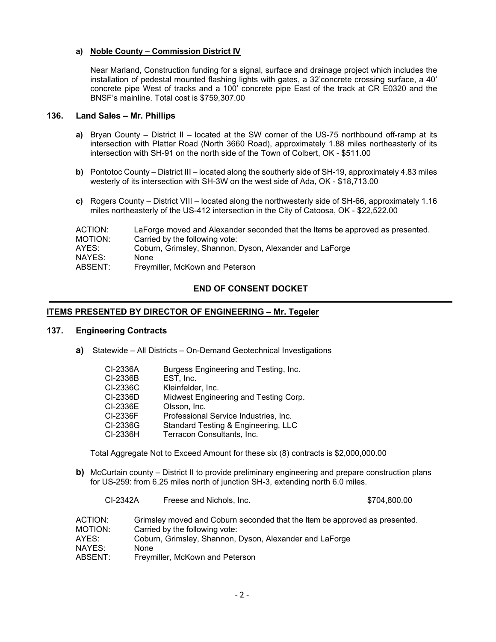## **a) Noble County – Commission District IV**

Near Marland, Construction funding for a signal, surface and drainage project which includes the installation of pedestal mounted flashing lights with gates, a 32'concrete crossing surface, a 40' concrete pipe West of tracks and a 100' concrete pipe East of the track at CR E0320 and the BNSF's mainline. Total cost is \$759,307.00

## **136. Land Sales – Mr. Phillips**

- **a)** Bryan County District II located at the SW corner of the US-75 northbound off-ramp at its intersection with Platter Road (North 3660 Road), approximately 1.88 miles northeasterly of its intersection with SH-91 on the north side of the Town of Colbert, OK - \$511.00
- **b)** Pontotoc County District III located along the southerly side of SH-19, approximately 4.83 miles westerly of its intersection with SH-3W on the west side of Ada, OK - \$18,713.00
- **c)** Rogers County District VIII located along the northwesterly side of SH-66, approximately 1.16 miles northeasterly of the US-412 intersection in the City of Catoosa, OK - \$22,522.00

| LaForge moved and Alexander seconded that the Items be approved as presented. |
|-------------------------------------------------------------------------------|
|                                                                               |
|                                                                               |
|                                                                               |
|                                                                               |
|                                                                               |

## **END OF CONSENT DOCKET**

## **ITEMS PRESENTED BY DIRECTOR OF ENGINEERING – Mr. Tegeler**

#### **137. Engineering Contracts**

**a)** Statewide – All Districts – On-Demand Geotechnical Investigations

| CI-2336A | Burgess Engineering and Testing, Inc. |
|----------|---------------------------------------|
| CI-2336B | EST, Inc.                             |
| CI-2336C | Kleinfelder, Inc.                     |
| CI-2336D | Midwest Engineering and Testing Corp. |
| CI-2336E | Olsson, Inc.                          |
| CI-2336F | Professional Service Industries, Inc. |
| CI-2336G | Standard Testing & Engineering, LLC   |
| CI-2336H | Terracon Consultants, Inc.            |
|          |                                       |

Total Aggregate Not to Exceed Amount for these six (8) contracts is \$2,000,000.00

**b)** McCurtain county – District II to provide preliminary engineering and prepare construction plans for US-259: from 6.25 miles north of junction SH-3, extending north 6.0 miles.

| CI-2342A           | Freese and Nichols, Inc.                                                                                     | \$704,800.00 |
|--------------------|--------------------------------------------------------------------------------------------------------------|--------------|
| ACTION:<br>MOTION: | Grimsley moved and Coburn seconded that the Item be approved as presented.<br>Carried by the following vote: |              |
| AYES: .            | Coburn, Grimsley, Shannon, Dyson, Alexander and LaForge                                                      |              |
| NAYES:             | <b>None</b>                                                                                                  |              |
| ABSENT:            | Freymiller, McKown and Peterson                                                                              |              |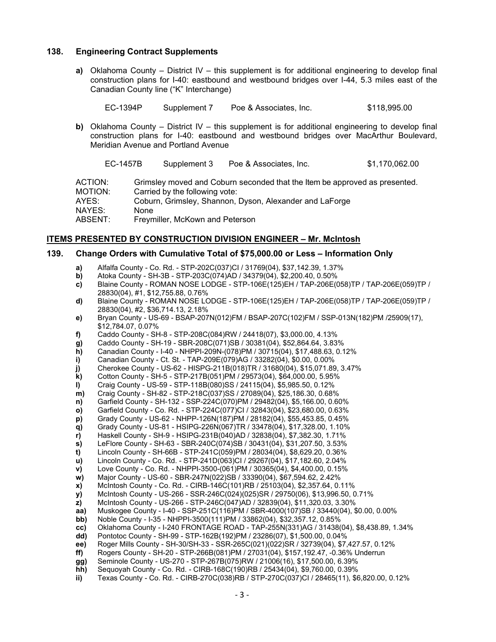#### **138. Engineering Contract Supplements**

**a)** Oklahoma County – District IV – this supplement is for additional engineering to develop final construction plans for I-40: eastbound and westbound bridges over I-44, 5.3 miles east of the Canadian County line ("K" Interchange)

| EC-1394P | Supplement 7 | Poe & Associates, Inc. | \$118,995.00 |
|----------|--------------|------------------------|--------------|
|----------|--------------|------------------------|--------------|

**b)** Oklahoma County – District IV – this supplement is for additional engineering to develop final construction plans for I-40: eastbound and westbound bridges over MacArthur Boulevard, Meridian Avenue and Portland Avenue

EC-1457B Supplement 3 Poe & Associates, Inc. \$1,170,062.00 ACTION: Grimsley moved and Coburn seconded that the Item be approved as presented. MOTION: Carried by the following vote: AYES: Coburn, Grimsley, Shannon, Dyson, Alexander and LaForge NAYES: None ABSENT: Freymiller, McKown and Peterson

#### **ITEMS PRESENTED BY CONSTRUCTION DIVISION ENGINEER – Mr. McIntosh**

## **139. Change Orders with Cumulative Total of \$75,000.00 or Less – Information Only**

- **a)** Alfalfa County Co. Rd. STP-202C(037)CI / 31769(04), \$37,142.39, 1.37%
- **b)** Atoka County SH-3B STP-203C(074)AD / 34379(04), \$2,200.40, 0.50%<br> **c)** Blaine County ROMAN NOSE LODGE STP-106E(125)EH / TAP-206E(0
- **c)** Blaine County ROMAN NOSE LODGE STP-106E(125)EH / TAP-206E(058)TP / TAP-206E(059)TP / 28830(04), #1, \$12,755.88, 0.76%
- **d)** Blaine County ROMAN NOSE LODGE STP-106E(125)EH / TAP-206E(058)TP / TAP-206E(059)TP / 28830(04), #2, \$36,714.13, 2.18%
- **e)** Bryan County US-69 BSAP-207N(012)FM / BSAP-207C(102)FM / SSP-013N(182)PM /25909(17), \$12,784.07, 0.07%
- **f)** Caddo County SH-8 STP-208C(084)RW / 24418(07), \$3,000.00, 4.13%
- **g)** Caddo County SH-19 SBR-208C(071)SB / 30381(04), \$52,864.64, 3.83%
- **h)** Canadian County I-40 NHPPI-209N-(078)PM / 30715(04), \$17,488.63, 0.12%<br>**i)** Canadian County Ct. St. TAP-209E(079)AG / 33282(04), \$0.00, 0.00%
- **i)** Canadian County Ct. St. TAP-209E(079)AG / 33282(04), \$0.00, 0.00%
- **j)** Cherokee County US-62 HISPG-211B(018)TR / 31680(04), \$15,071.89, 3.47%
- **k)** Cotton County SH-5 STP-217B(051)PM / 29573(04), \$64,000.00, 5.95%
- **l)** Craig County US-59 STP-118B(080)SS / 24115(04), \$5,985.50, 0.12%
- **m)** Craig County SH-82 STP-218C(037)SS / 27089(04), \$25,186.30, 0.68%
- **n)** Garfield County SH-132 SSP-224C(070)PM / 29482(04), \$5,166.00, 0.60%
- **o)** Garfield County Co. Rd. STP-224C(077)CI / 32843(04), \$23,680.00, 0.63%
- **p)** Grady County US-62 NHPP-126N(187)PM / 28182(04), \$55,453.85, 0.45%
- **q)** Grady County US-81 HSIPG-226N(067)TR / 33478(04), \$17,328.00, 1.10%
- **r)** Haskell County SH-9 HSIPG-231B(040)AD / 32838(04), \$7,382.30, 1.71%
- **s)** LeFlore County SH-63 SBR-240C(074)SB / 30431(04), \$31,207.50, 3.53%<br>**t)** Lincoln County SH-66B STP-241C(059)PM / 28034(04), \$8,629.20, 0.36%
- **t)** Lincoln County SH-66B STP-241C(059)PM / 28034(04), \$8,629.20, 0.36%
- **u)** Lincoln County Co. Rd. STP-241D(063)CI / 29267(04), \$17,182.60, 2.04%
- **v)** Love County Co. Rd. NHPPI-3500-(061)PM / 30365(04), \$4,400.00, 0.15%
- **w)** Major County US-60 SBR-247N(022)SB / 33390(04), \$67,594.62, 2.42%
- **x)** McIntosh County Co. Rd. CIRB-146C(101)RB / 25103(04), \$2,357.64, 0.11%
- **y)** McIntosh County US-266 SSR-246C(024)(025)SR / 29750(06), \$13,996.50, 0.71%<br>**z)** McIntosh County US-266 STP-246C(047)AD / 32839(04), \$11,320.03, 3.30% **z)** McIntosh County - US-266 - STP-246C(047)AD / 32839(04), \$11,320.03, 3.30%
- **aa)** Muskogee County I-40 SSP-251C(116)PM / SBR-4000(107)SB / 33440(04), \$0.00, 0.00%
- **bb)** Noble County I-35 NHPPI-3500(111)PM / 33862(04), \$32,357.12, 0.85%
- 
- **cc)** Oklahoma County I-240 FRONTAGE ROAD TAP-255N(331)AG / 31438(04), \$8,438.89, 1.34%
- **dd)** Pontotoc County SH-99 STP-162B(192)PM / 23286(07), \$1,500.00, 0.04% **ee)** Roger Mills County - SH-30/SH-33 - SSR-265C(021)(022)SR / 32739(04), \$7,427.57, 0.12%
- **ff)** Rogers County SH-20 STP-266B(081)PM / 27031(04), \$157,192.47, -0.36% Underrun
- **gg)** Seminole County US-270 STP-267B(075)RW / 21006(16), \$17,500.00, 6.39%
- **hh)** Sequoyah County Co. Rd. CIRB-168C(190)RB / 25434(04), \$9,760.00, 0.39%
- **ii)** Texas County Co. Rd. CIRB-270C(038)RB / STP-270C(037)CI / 28465(11), \$6,820.00, 0.12%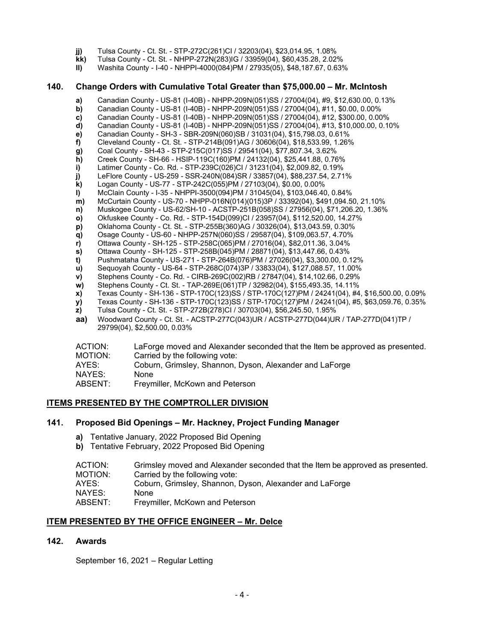- **jj)** Tulsa County Ct. St. STP-272C(261)CI / 32203(04), \$23,014.95, 1.08%
- **kk)** Tulsa County Ct. St. NHPP-272N(283)IG / 33959(04), \$60,435.28, 2.02%
- **ll)** Washita County I-40 NHPPI-4000(084)PM / 27935(05), \$48,187.67, 0.63%

#### **140. Change Orders with Cumulative Total Greater than \$75,000.00 – Mr. McIntosh**

- **a)** Canadian County US-81 (I-40B) NHPP-209N(051)SS / 27004(04), #9, \$12,630.00, 0.13%
- **b)** Canadian County US-81 (I-40B) NHPP-209N(051)SS / 27004(04), #11, \$0.00, 0.00%
- **c)** Canadian County US-81 (I-40B) NHPP-209N(051)SS / 27004(04), #12, \$300.00, 0.00%
- **d)** Canadian County US-81 (I-40B) NHPP-209N(051)SS / 27004(04), #13, \$10,000.00, 0.10%
- **e)** Canadian County SH-3 SBR-209N(060)SB / 31031(04), \$15,798.03, 0.61%
- **f)** Cleveland County Ct. St. STP-214B(091)AG / 30606(04), \$18,533.99, 1.26%
- **g)** Coal County SH-43 STP-215C(017)SS / 29541(04), \$77,807.34, 3.62%
- **h)** Creek County SH-66 HSIP-119C(160)PM / 24132(04), \$25,441.88, 0.76%
- **i)** Latimer County Co. Rd. STP-239C(026)CI / 31231(04), \$2,009.82, 0.19% **j)** LeFlore County - US-259 - SSR-240N(084)SR / 33857(04), \$88,237.54, 2.71%
- 
- **k)** Logan County US-77 STP-242C(055)PM / 27103(04), \$0.00, 0.00% **l)** McClain County - I-35 - NHPPI-3500(094)PM / 31045(04), \$103,046.40, 0.84%
- **m)** McCurtain County US-70 NHPP-016N(014)(015)3P / 33392(04), \$491,094.50, 21.10%<br> **n)** Muskogee County US-62/SH-10 ACSTP-251B(058)SS / 27956(04), \$71,206.20, 1.36%
- **n)** Muskogee County US-62/SH-10 ACSTP-251B(058)SS / 27956(04), \$71,206.20, 1.36%
- **o)** Okfuskee County Co. Rd. STP-154D(099)CI / 23957(04), \$112,520.00, 14.27%
- **p)** Oklahoma County Ct. St. STP-255B(360)AG / 30326(04), \$13,043.59, 0.30%
- **q)** Osage County US-60 NHPP-257N(060)SS / 29587(04), \$109,063.57, 4.70%
- **r)** Ottawa County SH-125 STP-258C(065)PM / 27016(04), \$82,011.36, 3.04%
- **s)** Ottawa County SH-125 STP-258B(045)PM / 28871(04), \$13,447.66, 0.43%
- **t)** Pushmataha County US-271 STP-264B(076)PM / 27026(04), \$3,300.00, 0.12%
- **u)** Sequoyah County US-64 STP-268C(074)3P / 33833(04), \$127,088.57, 11.00%
- **v)** Stephens County Co. Rd. CIRB-269C(002)RB / 27847(04), \$14,102.66, 0.29%
- **w)** Stephens County Ct. St. TAP-269E(061)TP / 32982(04), \$155,493.35, 14.11%<br>**x)** Texas County SH-136 STP-170C(123)SS / STP-170C(127)PM / 24241(04), #4
- **x)** Texas County SH-136 STP-170C(123)SS / STP-170C(127)PM / 24241(04), #4, \$16,500.00, 0.09%<br>**y)** Texas County SH-136 STP-170C(123)SS / STP-170C(127)PM / 24241(04), #5, \$63,059.76, 0.35%
- **y)** Texas County SH-136 STP-170C(123)SS / STP-170C(127)PM / 24241(04), #5, \$63,059.76, 0.35%
- **z)** Tulsa County Ct. St. STP-272B(278)CI / 30703(04), \$56,245.50, 1.95%
- **aa)** Woodward County Ct. St. ACSTP-277C(043)UR / ACSTP-277D(044)UR / TAP-277D(041)TP / 29799(04), \$2,500.00, 0.03%

| ACTION: | LaForge moved and Alexander seconded that the Item be approved as presented. |
|---------|------------------------------------------------------------------------------|
| MOTION: | Carried by the following vote:                                               |
| AYES:   | Coburn, Grimsley, Shannon, Dyson, Alexander and LaForge                      |
| NAYES:  | None                                                                         |
| ABSENT: | Freymiller, McKown and Peterson                                              |

# **ITEMS PRESENTED BY THE COMPTROLLER DIVISION**

#### **141. Proposed Bid Openings – Mr. Hackney, Project Funding Manager**

- **a)** Tentative January, 2022 Proposed Bid Opening
- **b)** Tentative February, 2022 Proposed Bid Opening

| ACTION: | Grimsley moved and Alexander seconded that the Item be approved as presented. |
|---------|-------------------------------------------------------------------------------|
| MOTION: | Carried by the following vote:                                                |
| AYES:   | Coburn, Grimsley, Shannon, Dyson, Alexander and LaForge                       |
| NAYES:  | None                                                                          |

ABSENT: Freymiller, McKown and Peterson

#### **ITEM PRESENTED BY THE OFFICE ENGINEER – Mr. Delce**

#### **142. Awards**

September 16, 2021 – Regular Letting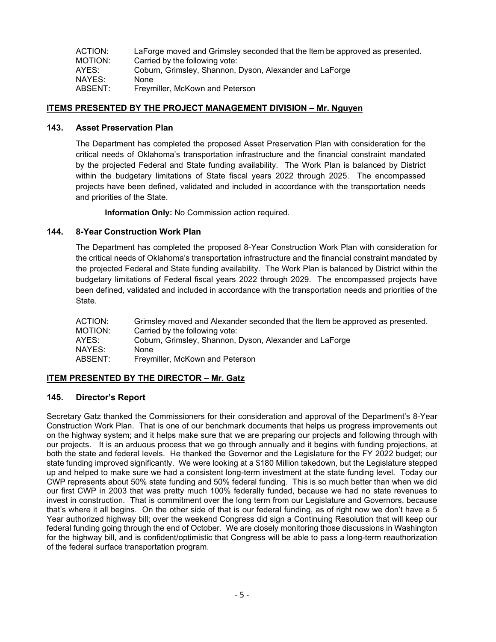| ACTION: | LaForge moved and Grimsley seconded that the Item be approved as presented. |
|---------|-----------------------------------------------------------------------------|
| MOTION: | Carried by the following vote:                                              |
| AYES:   | Coburn, Grimsley, Shannon, Dyson, Alexander and LaForge                     |
| NAYES:  | None                                                                        |
| ABSENT: | Freymiller, McKown and Peterson                                             |

## **ITEMS PRESENTED BY THE PROJECT MANAGEMENT DIVISION – Mr. Nguyen**

#### **143. Asset Preservation Plan**

The Department has completed the proposed Asset Preservation Plan with consideration for the critical needs of Oklahoma's transportation infrastructure and the financial constraint mandated by the projected Federal and State funding availability. The Work Plan is balanced by District within the budgetary limitations of State fiscal years 2022 through 2025. The encompassed projects have been defined, validated and included in accordance with the transportation needs and priorities of the State.

**Information Only:** No Commission action required.

## **144. 8-Year Construction Work Plan**

The Department has completed the proposed 8-Year Construction Work Plan with consideration for the critical needs of Oklahoma's transportation infrastructure and the financial constraint mandated by the projected Federal and State funding availability. The Work Plan is balanced by District within the budgetary limitations of Federal fiscal years 2022 through 2029. The encompassed projects have been defined, validated and included in accordance with the transportation needs and priorities of the State.

| Grimsley moved and Alexander seconded that the Item be approved as presented. |
|-------------------------------------------------------------------------------|
| Carried by the following vote:                                                |
| Coburn, Grimsley, Shannon, Dyson, Alexander and LaForge                       |
| None                                                                          |
| Freymiller, McKown and Peterson                                               |
|                                                                               |

# **ITEM PRESENTED BY THE DIRECTOR – Mr. Gatz**

# **145. Director's Report**

Secretary Gatz thanked the Commissioners for their consideration and approval of the Department's 8-Year Construction Work Plan. That is one of our benchmark documents that helps us progress improvements out on the highway system; and it helps make sure that we are preparing our projects and following through with our projects. It is an arduous process that we go through annually and it begins with funding projections, at both the state and federal levels. He thanked the Governor and the Legislature for the FY 2022 budget; our state funding improved significantly. We were looking at a \$180 Million takedown, but the Legislature stepped up and helped to make sure we had a consistent long-term investment at the state funding level. Today our CWP represents about 50% state funding and 50% federal funding. This is so much better than when we did our first CWP in 2003 that was pretty much 100% federally funded, because we had no state revenues to invest in construction. That is commitment over the long term from our Legislature and Governors, because that's where it all begins. On the other side of that is our federal funding, as of right now we don't have a 5 Year authorized highway bill; over the weekend Congress did sign a Continuing Resolution that will keep our federal funding going through the end of October. We are closely monitoring those discussions in Washington for the highway bill, and is confident/optimistic that Congress will be able to pass a long-term reauthorization of the federal surface transportation program.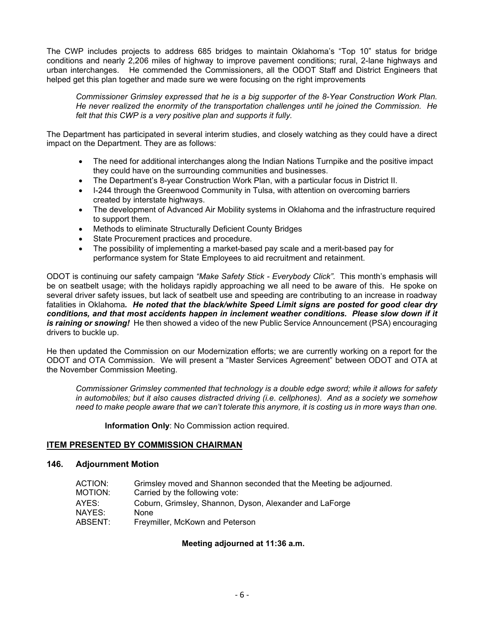The CWP includes projects to address 685 bridges to maintain Oklahoma's "Top 10" status for bridge conditions and nearly 2,206 miles of highway to improve pavement conditions; rural, 2-lane highways and urban interchanges. He commended the Commissioners, all the ODOT Staff and District Engineers that helped get this plan together and made sure we were focusing on the right improvements

*Commissioner Grimsley expressed that he is a big supporter of the 8-Year Construction Work Plan. He never realized the enormity of the transportation challenges until he joined the Commission. He felt that this CWP is a very positive plan and supports it fully.*

The Department has participated in several interim studies, and closely watching as they could have a direct impact on the Department. They are as follows:

- The need for additional interchanges along the Indian Nations Turnpike and the positive impact they could have on the surrounding communities and businesses.
- The Department's 8-year Construction Work Plan, with a particular focus in District II.
- I-244 through the Greenwood Community in Tulsa, with attention on overcoming barriers created by interstate highways.
- The development of Advanced Air Mobility systems in Oklahoma and the infrastructure required to support them.
- Methods to eliminate Structurally Deficient County Bridges
- State Procurement practices and procedure.
- The possibility of implementing a market-based pay scale and a merit-based pay for performance system for State Employees to aid recruitment and retainment.

ODOT is continuing our safety campaign *"Make Safety Stick - Everybody Click".* This month's emphasis will be on seatbelt usage; with the holidays rapidly approaching we all need to be aware of this. He spoke on several driver safety issues, but lack of seatbelt use and speeding are contributing to an increase in roadway fatalities in Oklahoma*. He noted that the black/white Speed Limit signs are posted for good clear dry conditions, and that most accidents happen in inclement weather conditions. Please slow down if it is raining or snowing!* He then showed a video of the new Public Service Announcement (PSA) encouraging drivers to buckle up.

He then updated the Commission on our Modernization efforts; we are currently working on a report for the ODOT and OTA Commission. We will present a "Master Services Agreement" between ODOT and OTA at the November Commission Meeting.

*Commissioner Grimsley commented that technology is a double edge sword; while it allows for safety in automobiles; but it also causes distracted driving (i.e. cellphones). And as a society we somehow need to make people aware that we can't tolerate this anymore, it is costing us in more ways than one.* 

**Information Only**: No Commission action required.

# **ITEM PRESENTED BY COMMISSION CHAIRMAN**

#### **146. Adjournment Motion**

| ACTION: | Grimsley moved and Shannon seconded that the Meeting be adjourned. |
|---------|--------------------------------------------------------------------|
| MOTION: | Carried by the following vote:                                     |
| AYES:   | Coburn, Grimsley, Shannon, Dyson, Alexander and LaForge            |
| NAYES:  | None                                                               |
| ABSENT: | Freymiller, McKown and Peterson                                    |

# **Meeting adjourned at 11:36 a.m.**